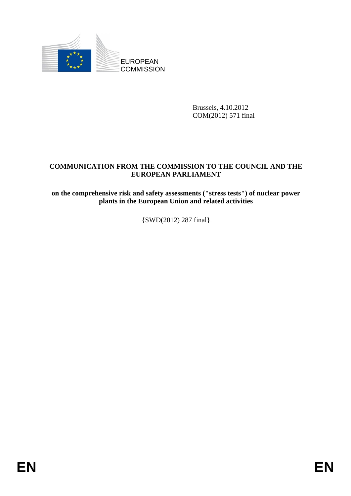

Brussels, 4.10.2012 COM(2012) 571 final

## **COMMUNICATION FROM THE COMMISSION TO THE COUNCIL AND THE EUROPEAN PARLIAMENT**

**on the comprehensive risk and safety assessments ("stress tests") of nuclear power plants in the European Union and related activities** 

{SWD(2012) 287 final}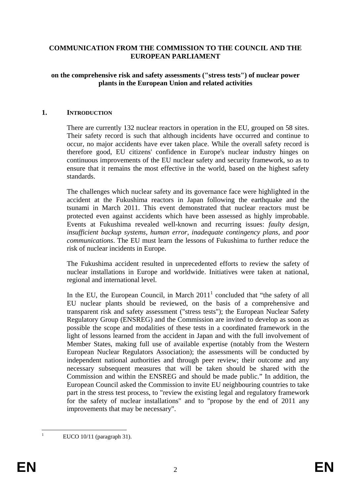#### **COMMUNICATION FROM THE COMMISSION TO THE COUNCIL AND THE EUROPEAN PARLIAMENT**

#### **on the comprehensive risk and safety assessments ("stress tests") of nuclear power plants in the European Union and related activities**

#### **1. INTRODUCTION**

There are currently 132 nuclear reactors in operation in the EU, grouped on 58 sites. Their safety record is such that although incidents have occurred and continue to occur, no major accidents have ever taken place. While the overall safety record is therefore good, EU citizens' confidence in Europe's nuclear industry hinges on continuous improvements of the EU nuclear safety and security framework, so as to ensure that it remains the most effective in the world, based on the highest safety standards.

The challenges which nuclear safety and its governance face were highlighted in the accident at the Fukushima reactors in Japan following the earthquake and the tsunami in March 2011. This event demonstrated that nuclear reactors must be protected even against accidents which have been assessed as highly improbable. Events at Fukushima revealed well-known and recurring issues: *faulty design, insufficient backup systems, human error, inadequate contingency plans,* and *poor communications*. The EU must learn the lessons of Fukushima to further reduce the risk of nuclear incidents in Europe.

The Fukushima accident resulted in unprecedented efforts to review the safety of nuclear installations in Europe and worldwide. Initiatives were taken at national, regional and international level.

In the EU, the European Council, in March  $2011<sup>1</sup>$  concluded that "the safety of all EU nuclear plants should be reviewed, on the basis of a comprehensive and transparent risk and safety assessment ("stress tests"); the European Nuclear Safety Regulatory Group (ENSREG) and the Commission are invited to develop as soon as possible the scope and modalities of these tests in a coordinated framework in the light of lessons learned from the accident in Japan and with the full involvement of Member States, making full use of available expertise (notably from the Western European Nuclear Regulators Association); the assessments will be conducted by independent national authorities and through peer review; their outcome and any necessary subsequent measures that will be taken should be shared with the Commission and within the ENSREG and should be made public." In addition, the European Council asked the Commission to invite EU neighbouring countries to take part in the stress test process, to "review the existing legal and regulatory framework for the safety of nuclear installations" and to "propose by the end of 2011 any improvements that may be necessary".

<u>.</u> 1

EUCO 10/11 (paragraph 31).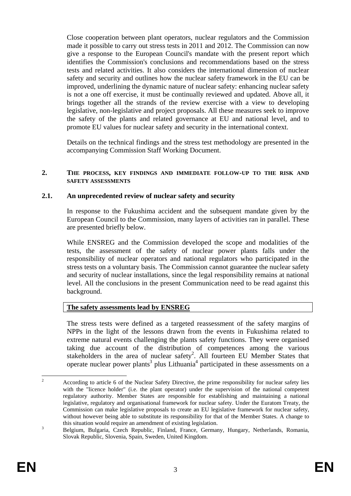Close cooperation between plant operators, nuclear regulators and the Commission made it possible to carry out stress tests in 2011 and 2012. The Commission can now give a response to the European Council's mandate with the present report which identifies the Commission's conclusions and recommendations based on the stress tests and related activities. It also considers the international dimension of nuclear safety and security and outlines how the nuclear safety framework in the EU can be improved, underlining the dynamic nature of nuclear safety: enhancing nuclear safety is not a one off exercise, it must be continually reviewed and updated. Above all, it brings together all the strands of the review exercise with a view to developing legislative, non-legislative and project proposals. All these measures seek to improve the safety of the plants and related governance at EU and national level, and to promote EU values for nuclear safety and security in the international context.

Details on the technical findings and the stress test methodology are presented in the accompanying Commission Staff Working Document.

#### **2. THE PROCESS, KEY FINDINGS AND IMMEDIATE FOLLOW-UP TO THE RISK AND SAFETY ASSESSMENTS**

#### **2.1. An unprecedented review of nuclear safety and security**

In response to the Fukushima accident and the subsequent mandate given by the European Council to the Commission, many layers of activities ran in parallel. These are presented briefly below.

While ENSREG and the Commission developed the scope and modalities of the tests, the assessment of the safety of nuclear power plants falls under the responsibility of nuclear operators and national regulators who participated in the stress tests on a voluntary basis. The Commission cannot guarantee the nuclear safety and security of nuclear installations, since the legal responsibility remains at national level. All the conclusions in the present Communication need to be read against this background.

#### **The safety assessments lead by ENSREG**

The stress tests were defined as a targeted reassessment of the safety margins of NPPs in the light of the lessons drawn from the events in Fukushima related to extreme natural events challenging the plants safety functions. They were organised taking due account of the distribution of competences among the various stakeholders in the area of nuclear safety<sup>2</sup>. All fourteen EU Member States that operate nuclear power plants<sup>3</sup> plus Lithuania<sup>4</sup> participated in these assessments on a

 $\frac{1}{2}$  According to article 6 of the Nuclear Safety Directive, the prime responsibility for nuclear safety lies with the "licence holder" (i.e. the plant operator) under the supervision of the national competent regulatory authority. Member States are responsible for establishing and maintaining a national legislative, regulatory and organisational framework for nuclear safety. Under the Euratom Treaty, the Commission can make legislative proposals to create an EU legislative framework for nuclear safety, without however being able to substitute its responsibility for that of the Member States. A change to this situation would require an amendment of existing legislation.

Belgium, Bulgaria, Czech Republic, Finland, France, Germany, Hungary, Netherlands, Romania, Slovak Republic, Slovenia, Spain, Sweden, United Kingdom.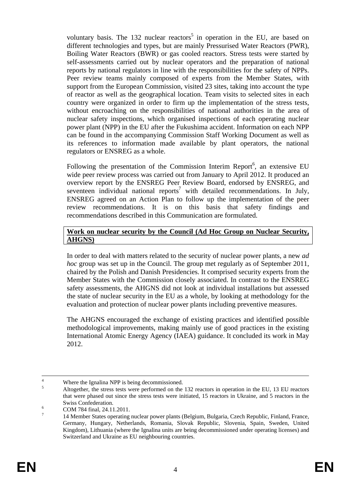voluntary basis. The 132 nuclear reactors<sup>5</sup> in operation in the EU, are based on different technologies and types, but are mainly Pressurised Water Reactors (PWR), Boiling Water Reactors (BWR) or gas cooled reactors. Stress tests were started by self-assessments carried out by nuclear operators and the preparation of national reports by national regulators in line with the responsibilities for the safety of NPPs. Peer review teams mainly composed of experts from the Member States, with support from the European Commission, visited 23 sites, taking into account the type of reactor as well as the geographical location. Team visits to selected sites in each country were organized in order to firm up the implementation of the stress tests, without encroaching on the responsibilities of national authorities in the area of nuclear safety inspections, which organised inspections of each operating nuclear power plant (NPP) in the EU after the Fukushima accident. Information on each NPP can be found in the accompanying Commission Staff Working Document as well as its references to information made available by plant operators, the national regulators or ENSREG as a whole.

Following the presentation of the Commission Interim Report<sup>6</sup>, an extensive EU wide peer review process was carried out from January to April 2012. It produced an overview report by the ENSREG Peer Review Board, endorsed by ENSREG, and seventeen individual national reports<sup>7</sup> with detailed recommendations. In July, ENSREG agreed on an Action Plan to follow up the implementation of the peer review recommendations. It is on this basis that safety findings and recommendations described in this Communication are formulated.

#### **Work on nuclear security by the Council (Ad Hoc Group on Nuclear Security, AHGNS)**

In order to deal with matters related to the security of nuclear power plants, a new *ad hoc* group was set up in the Council. The group met regularly as of September 2011, chaired by the Polish and Danish Presidencies. It comprised security experts from the Member States with the Commission closely associated. In contrast to the ENSREG safety assessments, the AHGNS did not look at individual installations but assessed the state of nuclear security in the EU as a whole, by looking at methodology for the evaluation and protection of nuclear power plants including preventive measures.

The AHGNS encouraged the exchange of existing practices and identified possible methodological improvements, making mainly use of good practices in the existing International Atomic Energy Agency (IAEA) guidance. It concluded its work in May 2012.

 $\frac{1}{4}$ <sup>4</sup> Where the Ignalina NPP is being decommissioned. 5

Altogether, the stress tests were performed on the 132 reactors in operation in the EU, 13 EU reactors that were phased out since the stress tests were initiated, 15 reactors in Ukraine, and 5 reactors in the Swiss Confederation.

COM 784 final, 24.11.2011. 7

 <sup>14</sup> Member States operating nuclear power plants (Belgium, Bulgaria, Czech Republic, Finland, France, Germany, Hungary, Netherlands, Romania, Slovak Republic, Slovenia, Spain, Sweden, United Kingdom), Lithuania (where the Ignalina units are being decommissioned under operating licenses) and Switzerland and Ukraine as EU neighbouring countries.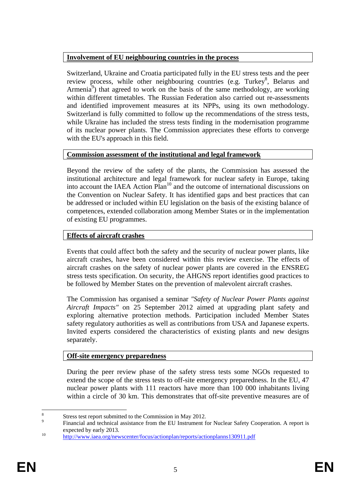## **Involvement of EU neighbouring countries in the process**

Switzerland, Ukraine and Croatia participated fully in the EU stress tests and the peer review process, while other neighbouring countries (e.g. Turkey<sup>8</sup>, Belarus and Armenia<sup>9</sup>) that agreed to work on the basis of the same methodology, are working within different timetables. The Russian Federation also carried out re-assessments and identified improvement measures at its NPPs, using its own methodology. Switzerland is fully committed to follow up the recommendations of the stress tests, while Ukraine has included the stress tests finding in the modernisation programme of its nuclear power plants. The Commission appreciates these efforts to converge with the EU's approach in this field.

## **Commission assessment of the institutional and legal framework**

Beyond the review of the safety of the plants, the Commission has assessed the institutional architecture and legal framework for nuclear safety in Europe, taking into account the IAEA Action Plan<sup>10</sup> and the outcome of international discussions on the Convention on Nuclear Safety. It has identified gaps and best practices that can be addressed or included within EU legislation on the basis of the existing balance of competences, extended collaboration among Member States or in the implementation of existing EU programmes.

## **Effects of aircraft crashes**

Events that could affect both the safety and the security of nuclear power plants, like aircraft crashes, have been considered within this review exercise. The effects of aircraft crashes on the safety of nuclear power plants are covered in the ENSREG stress tests specification. On security, the AHGNS report identifies good practices to be followed by Member States on the prevention of malevolent aircraft crashes.

The Commission has organised a seminar *"Safety of Nuclear Power Plants against Aircraft Impacts"* on 25 September 2012 aimed at upgrading plant safety and exploring alternative protection methods. Participation included Member States safety regulatory authorities as well as contributions from USA and Japanese experts. Invited experts considered the characteristics of existing plants and new designs separately.

## **Off-site emergency preparedness**

During the peer review phase of the safety stress tests some NGOs requested to extend the scope of the stress tests to off-site emergency preparedness. In the EU, 47 nuclear power plants with 111 reactors have more than 100 000 inhabitants living within a circle of 30 km. This demonstrates that off-site preventive measures are of

 $\frac{1}{8}$ Stress test report submitted to the Commission in May 2012.

<sup>9</sup> Financial and technical assistance from the EU Instrument for Nuclear Safety Cooperation. A report is expected by early 2013.<br>
<sup>10</sup> http://www.iaea.org/newscenter/focus/actionplan/reports/actionplanns130911.pdf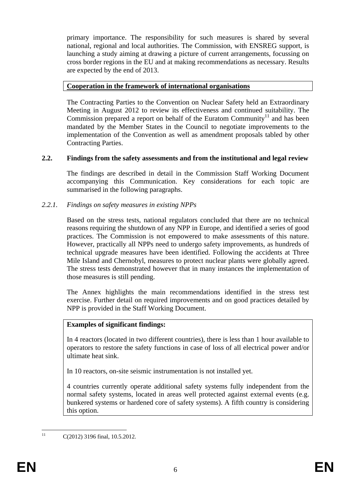primary importance. The responsibility for such measures is shared by several national, regional and local authorities. The Commission, with ENSREG support, is launching a study aiming at drawing a picture of current arrangements, focussing on cross border regions in the EU and at making recommendations as necessary. Results are expected by the end of 2013.

### **Cooperation in the framework of international organisations**

The Contracting Parties to the Convention on Nuclear Safety held an Extraordinary Meeting in August 2012 to review its effectiveness and continued suitability. The Commission prepared a report on behalf of the Euratom Community<sup>11</sup> and has been mandated by the Member States in the Council to negotiate improvements to the implementation of the Convention as well as amendment proposals tabled by other Contracting Parties.

### **2.2. Findings from the safety assessments and from the institutional and legal review**

The findings are described in detail in the Commission Staff Working Document accompanying this Communication. Key considerations for each topic are summarised in the following paragraphs.

### *2.2.1. Findings on safety measures in existing NPPs*

Based on the stress tests, national regulators concluded that there are no technical reasons requiring the shutdown of any NPP in Europe, and identified a series of good practices. The Commission is not empowered to make assessments of this nature. However, practically all NPPs need to undergo safety improvements, as hundreds of technical upgrade measures have been identified. Following the accidents at Three Mile Island and Chernobyl, measures to protect nuclear plants were globally agreed. The stress tests demonstrated however that in many instances the implementation of those measures is still pending.

The Annex highlights the main recommendations identified in the stress test exercise. Further detail on required improvements and on good practices detailed by NPP is provided in the Staff Working Document.

#### **Examples of significant findings:**

In 4 reactors (located in two different countries), there is less than 1 hour available to operators to restore the safety functions in case of loss of all electrical power and/or ultimate heat sink.

In 10 reactors, on-site seismic instrumentation is not installed yet.

4 countries currently operate additional safety systems fully independent from the normal safety systems, located in areas well protected against external events (e.g. bunkered systems or hardened core of safety systems). A fifth country is considering this option.

 $11$ C(2012) 3196 final, 10.5.2012.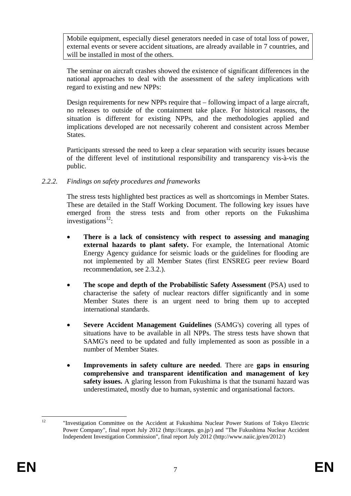Mobile equipment, especially diesel generators needed in case of total loss of power, external events or severe accident situations, are already available in 7 countries, and will be installed in most of the others.

The seminar on aircraft crashes showed the existence of significant differences in the national approaches to deal with the assessment of the safety implications with regard to existing and new NPPs:

Design requirements for new NPPs require that – following impact of a large aircraft, no releases to outside of the containment take place. For historical reasons, the situation is different for existing NPPs, and the methodologies applied and implications developed are not necessarily coherent and consistent across Member States.

Participants stressed the need to keep a clear separation with security issues because of the different level of institutional responsibility and transparency vis-à-vis the public.

### *2.2.2. Findings on safety procedures and frameworks*

The stress tests highlighted best practices as well as shortcomings in Member States. These are detailed in the Staff Working Document. The following key issues have emerged from the stress tests and from other reports on the Fukushima investigations $^{12}$ :

- **There is a lack of consistency with respect to assessing and managing external hazards to plant safety.** For example, the International Atomic Energy Agency guidance for seismic loads or the guidelines for flooding are not implemented by all Member States (first ENSREG peer review Board recommendation, see 2.3.2.).
- **The scope and depth of the Probabilistic Safety Assessment** (PSA) used to characterise the safety of nuclear reactors differ significantly and in some Member States there is an urgent need to bring them up to accepted international standards.
- **Severe Accident Management Guidelines** (SAMG's) covering all types of situations have to be available in all NPPs. The stress tests have shown that SAMG's need to be updated and fully implemented as soon as possible in a number of Member States.
- **Improvements in safety culture are needed**. There are **gaps in ensuring comprehensive and transparent identification and management of key safety issues.** A glaring lesson from Fukushima is that the tsunami hazard was underestimated, mostly due to human, systemic and organisational factors.

 $12<sup>12</sup>$ 12 "Investigation Committee on the Accident at Fukushima Nuclear Power Stations of Tokyo Electric Power Company", final report July 2012 (http://icanps. go.jp/) and "The Fukushima Nuclear Accident Independent Investigation Commission", final report July 2012 (http://www.naiic.jp/en/2012/)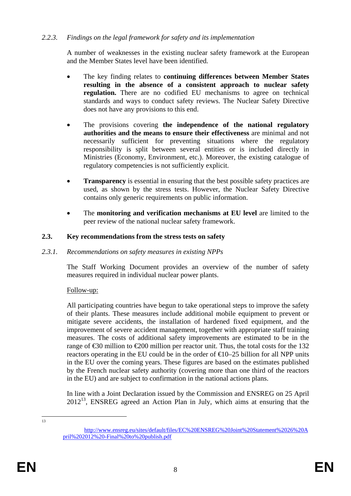## *2.2.3. Findings on the legal framework for safety and its implementation*

A number of weaknesses in the existing nuclear safety framework at the European and the Member States level have been identified.

- The key finding relates to **continuing differences between Member States resulting in the absence of a consistent approach to nuclear safety regulation.** There are no codified EU mechanisms to agree on technical standards and ways to conduct safety reviews. The Nuclear Safety Directive does not have any provisions to this end.
- The provisions covering **the independence of the national regulatory authorities and the means to ensure their effectiveness** are minimal and not necessarily sufficient for preventing situations where the regulatory responsibility is split between several entities or is included directly in Ministries (Economy, Environment, etc.). Moreover, the existing catalogue of regulatory competencies is not sufficiently explicit.
- **Transparency** is essential in ensuring that the best possible safety practices are used, as shown by the stress tests. However, the Nuclear Safety Directive contains only generic requirements on public information.
- The **monitoring and verification mechanisms at EU level** are limited to the peer review of the national nuclear safety framework.

### **2.3. Key recommendations from the stress tests on safety**

#### *2.3.1. Recommendations on safety measures in existing NPPs*

The Staff Working Document provides an overview of the number of safety measures required in individual nuclear power plants.

## Follow-up:

All participating countries have begun to take operational steps to improve the safety of their plants. These measures include additional mobile equipment to prevent or mitigate severe accidents, the installation of hardened fixed equipment, and the improvement of severe accident management, together with appropriate staff training measures. The costs of additional safety improvements are estimated to be in the range of  $\epsilon$ 30 million to  $\epsilon$ 200 million per reactor unit. Thus, the total costs for the 132 reactors operating in the EU could be in the order of  $\epsilon 0$ –25 billion for all NPP units in the EU over the coming years. These figures are based on the estimates published by the French nuclear safety authority (covering more than one third of the reactors in the EU) and are subject to confirmation in the national actions plans.

In line with a Joint Declaration issued by the Commission and ENSREG on 25 April  $2012<sup>13</sup>$ , ENSREG agreed an Action Plan in July, which aims at ensuring that the

 $\frac{13}{13}$ 

[http://www.ensreg.eu/sites/default/files/EC%20ENSREG%20Joint%20Statement%2026%20A](http://www.ensreg.eu/sites/default/files/EC ENSREG Joint Statement 26 April 2012 -Final to publish.pdf) [pril%202012%20-Final%20to%20publish.pdf](http://www.ensreg.eu/sites/default/files/EC ENSREG Joint Statement 26 April 2012 -Final to publish.pdf)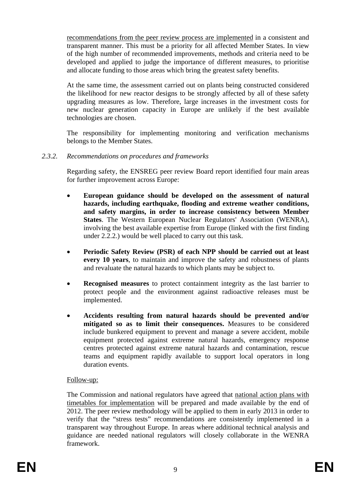recommendations from the peer review process are implemented in a consistent and transparent manner. This must be a priority for all affected Member States. In view of the high number of recommended improvements, methods and criteria need to be developed and applied to judge the importance of different measures, to prioritise and allocate funding to those areas which bring the greatest safety benefits.

At the same time, the assessment carried out on plants being constructed considered the likelihood for new reactor designs to be strongly affected by all of these safety upgrading measures as low. Therefore, large increases in the investment costs for new nuclear generation capacity in Europe are unlikely if the best available technologies are chosen.

The responsibility for implementing monitoring and verification mechanisms belongs to the Member States.

## *2.3.2. Recommendations on procedures and frameworks*

Regarding safety, the ENSREG peer review Board report identified four main areas for further improvement across Europe:

- **European guidance should be developed on the assessment of natural hazards, including earthquake, flooding and extreme weather conditions, and safety margins, in order to increase consistency between Member States**. The Western European Nuclear Regulators' Association (WENRA), involving the best available expertise from Europe (linked with the first finding under 2.2.2.) would be well placed to carry out this task.
- **Periodic Safety Review (PSR) of each NPP should be carried out at least every 10 years**, to maintain and improve the safety and robustness of plants and revaluate the natural hazards to which plants may be subject to.
- **Recognised measures** to protect containment integrity as the last barrier to protect people and the environment against radioactive releases must be implemented.
- **Accidents resulting from natural hazards should be prevented and/or mitigated so as to limit their consequences.** Measures to be considered include bunkered equipment to prevent and manage a severe accident, mobile equipment protected against extreme natural hazards, emergency response centres protected against extreme natural hazards and contamination, rescue teams and equipment rapidly available to support local operators in long duration events.

#### Follow-up:

The Commission and national regulators have agreed that national action plans with timetables for implementation will be prepared and made available by the end of 2012. The peer review methodology will be applied to them in early 2013 in order to verify that the "stress tests" recommendations are consistently implemented in a transparent way throughout Europe. In areas where additional technical analysis and guidance are needed national regulators will closely collaborate in the WENRA framework.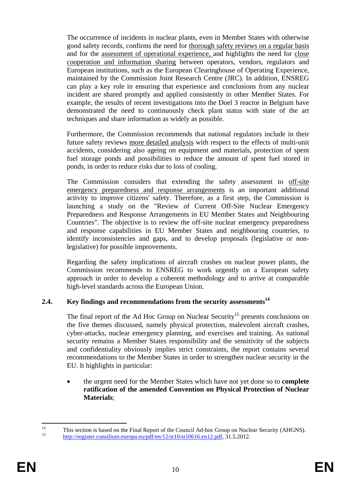The occurrence of incidents in nuclear plants, even in Member States with otherwise good safety records, confirms the need for thorough safety reviews on a regular basis and for the assessment of operational experience, and highlights the need for close cooperation and information sharing between operators, vendors, regulators and European institutions, such as the European Clearinghouse of Operating Experience, maintained by the Commission Joint Research Centre (JRC). In addition, ENSREG can play a key role in ensuring that experience and conclusions from any nuclear incident are shared promptly and applied consistently in other Member States. For example, the results of recent investigations into the Doel 3 reactor in Belgium have demonstrated the need to continuously check plant status with state of the art techniques and share information as widely as possible.

Furthermore, the Commission recommends that national regulators include in their future safety reviews more detailed analysis with respect to the effects of multi-unit accidents, considering also ageing on equipment and materials, protection of spent fuel storage ponds and possibilities to reduce the amount of spent fuel stored in ponds, in order to reduce risks due to loss of cooling.

The Commission considers that extending the safety assessment to off-site emergency preparedness and response arrangements is an important additional activity to improve citizens' safety. Therefore, as a first step, the Commission is launching a study on the "Review of Current Off-Site Nuclear Emergency Preparedness and Response Arrangements in EU Member States and Neighbouring Countries". The objective is to review the off-site nuclear emergency preparedness and response capabilities in EU Member States and neighbouring countries, to identify inconsistencies and gaps, and to develop proposals (legislative or nonlegislative) for possible improvements.

Regarding the safety implications of aircraft crashes on nuclear power plants, the Commission recommends to ENSREG to work urgently on a European safety approach in order to develop a coherent methodology and to arrive at comparable high-level standards across the European Union.

## 2.4. Key findings and recommendations from the security assessments<sup>14</sup>

The final report of the Ad Hoc Group on Nuclear Security<sup>15</sup> presents conclusions on the five themes discussed, namely physical protection, malevolent aircraft crashes, cyber-attacks, nuclear emergency planning, and exercises and training. As national security remains a Member States responsibility and the sensitivity of the subjects and confidentiality obviously implies strict constraints, the report contains several recommendations to the Member States in order to strengthen nuclear security in the EU. It highlights in particular:

• the urgent need for the Member States which have not yet done so to **complete ratification of the amended Convention on Physical Protection of Nuclear Materials**;

 $14$ <sup>14</sup> [This section is based on the Final Report of the Council Ad-hoc Grou](http://register.consilium.europa.eu/pdf/en/12/st10/st10616.en12.pdf)p on Nuclear Security (AHGNS).<br><sup>[15](http://register.consilium.europa.eu/pdf/en/12/st10/st10616.en12.pdf)</sup> http://register.consilium.europa.eu/pdf/en/12/st10/st10616.en12.pdf, 31.5.2012.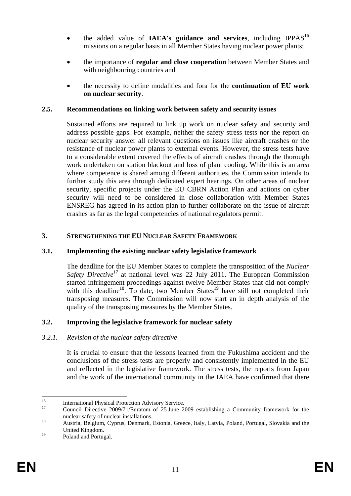- the added value of **IAEA's guidance and services**, including IPPAS<sup>16</sup> missions on a regular basis in all Member States having nuclear power plants;
- the importance of **regular and close cooperation** between Member States and with neighbouring countries and
- the necessity to define modalities and fora for the **continuation of EU work on nuclear security**.

## **2.5. Recommendations on linking work between safety and security issues**

Sustained efforts are required to link up work on nuclear safety and security and address possible gaps. For example, neither the safety stress tests nor the report on nuclear security answer all relevant questions on issues like aircraft crashes or the resistance of nuclear power plants to external events. However, the stress tests have to a considerable extent covered the effects of aircraft crashes through the thorough work undertaken on station blackout and loss of plant cooling. While this is an area where competence is shared among different authorities, the Commission intends to further study this area through dedicated expert hearings. On other areas of nuclear security, specific projects under the EU CBRN Action Plan and actions on cyber security will need to be considered in close collaboration with Member States ENSREG has agreed in its action plan to further collaborate on the issue of aircraft crashes as far as the legal competencies of national regulators permit.

## **3. STRENGTHENING THE EU NUCLEAR SAFETY FRAMEWORK**

# **3.1. Implementing the existing nuclear safety legislative framework**

The deadline for the EU Member States to complete the transposition of the *Nuclear Safety Directive<sup>17</sup>* at national level was 22 July 2011. The European Commission started infringement proceedings against twelve Member States that did not comply with this deadline<sup>18</sup>. To date, two Member States<sup>19</sup> have still not completed their transposing measures. The Commission will now start an in depth analysis of the quality of the transposing measures by the Member States.

# **3.2. Improving the legislative framework for nuclear safety**

## *3.2.1. Revision of the nuclear safety directive*

It is crucial to ensure that the lessons learned from the Fukushima accident and the conclusions of the stress tests are properly and consistently implemented in the EU and reflected in the legislative framework. The stress tests, the reports from Japan and the work of the international community in the IAEA have confirmed that there

<sup>1</sup> <sup>16</sup> International Physical Protection Advisory Service.

<sup>17</sup> Council Directive 2009/71/Euratom of 25 June 2009 establishing a Community framework for the nuclear safety of nuclear installations.<br><sup>18</sup> Austria, Belgium, Cyprus, Denmark, Estonia, Greece, Italy, Latvia, Poland, Portugal, Slovakia and the

United Kingdom.

<sup>&</sup>lt;sup>19</sup> Poland and Portugal.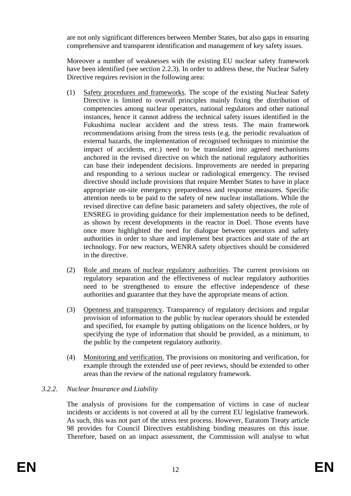are not only significant differences between Member States, but also gaps in ensuring comprehensive and transparent identification and management of key safety issues.

Moreover a number of weaknesses with the existing EU nuclear safety framework have been identified (see section 2.2.3). In order to address these, the Nuclear Safety Directive requires revision in the following area:

- (1) Safety procedures and frameworks. The scope of the existing Nuclear Safety Directive is limited to overall principles mainly fixing the distribution of competencies among nuclear operators, national regulators and other national instances, hence it cannot address the technical safety issues identified in the Fukushima nuclear accident and the stress tests. The main framework recommendations arising from the stress tests (e.g. the periodic revaluation of external hazards, the implementation of recognised techniques to minimise the impact of accidents, etc.) need to be translated into agreed mechanisms anchored in the revised directive on which the national regulatory authorities can base their independent decisions. Improvements are needed in preparing and responding to a serious nuclear or radiological emergency. The revised directive should include provisions that require Member States to have in place appropriate on-site emergency preparedness and response measures. Specific attention needs to be paid to the safety of new nuclear installations. While the revised directive can define basic parameters and safety objectives, the role of ENSREG in providing guidance for their implementation needs to be defined, as shown by recent developments in the reactor in Doel. Those events have once more highlighted the need for dialogue between operators and safety authorities in order to share and implement best practices and state of the art technology. For new reactors, WENRA safety objectives should be considered in the directive.
- (2) Role and means of nuclear regulatory authorities. The current provisions on regulatory separation and the effectiveness of nuclear regulatory authorities need to be strengthened to ensure the effective independence of these authorities and guarantee that they have the appropriate means of action.
- (3) Openness and transparency. Transparency of regulatory decisions and regular provision of information to the public by nuclear operators should be extended and specified, for example by putting obligations on the licence holders, or by specifying the type of information that should be provided, as a minimum, to the public by the competent regulatory authority.
- (4) Monitoring and verification. The provisions on monitoring and verification, for example through the extended use of peer reviews, should be extended to other areas than the review of the national regulatory framework.

# *3.2.2. Nuclear Insurance and Liability*

The analysis of provisions for the compensation of victims in case of nuclear incidents or accidents is not covered at all by the current EU legislative framework. As such, this was not part of the stress test process. However, Euratom Treaty article 98 provides for Council Directives establishing binding measures on this issue. Therefore, based on an impact assessment, the Commission will analyse to what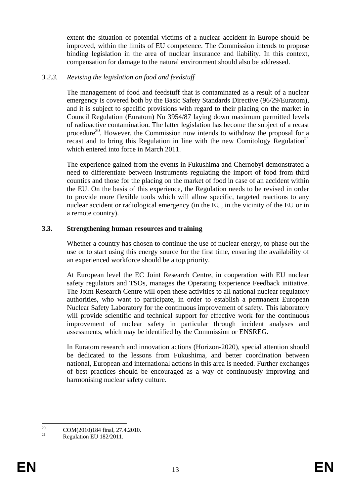extent the situation of potential victims of a nuclear accident in Europe should be improved, within the limits of EU competence. The Commission intends to propose binding legislation in the area of nuclear insurance and liability. In this context, compensation for damage to the natural environment should also be addressed.

### *3.2.3. Revising the legislation on food and feedstuff*

The management of food and feedstuff that is contaminated as a result of a nuclear emergency is covered both by the Basic Safety Standards Directive (96/29/Euratom), and it is subject to specific provisions with regard to their placing on the market in Council Regulation (Euratom) No 3954/87 laying down maximum permitted levels of radioactive contamination. The latter legislation has become the subject of a recast procedure<sup>20</sup>. However, the Commission now intends to withdraw the proposal for a recast and to bring this Regulation in line with the new Comitology Regulation<sup>21</sup> which entered into force in March 2011.

The experience gained from the events in Fukushima and Chernobyl demonstrated a need to differentiate between instruments regulating the import of food from third counties and those for the placing on the market of food in case of an accident within the EU. On the basis of this experience, the Regulation needs to be revised in order to provide more flexible tools which will allow specific, targeted reactions to any nuclear accident or radiological emergency (in the EU, in the vicinity of the EU or in a remote country).

#### **3.3. Strengthening human resources and training**

Whether a country has chosen to continue the use of nuclear energy, to phase out the use or to start using this energy source for the first time, ensuring the availability of an experienced workforce should be a top priority.

At European level the EC Joint Research Centre, in cooperation with EU nuclear safety regulators and TSOs, manages the Operating Experience Feedback initiative. The Joint Research Centre will open these activities to all national nuclear regulatory authorities, who want to participate, in order to establish a permanent European Nuclear Safety Laboratory for the continuous improvement of safety. This laboratory will provide scientific and technical support for effective work for the continuous improvement of nuclear safety in particular through incident analyses and assessments, which may be identified by the Commission or ENSREG.

In Euratom research and innovation actions (Horizon-2020), special attention should be dedicated to the lessons from Fukushima, and better coordination between national, European and international actions in this area is needed. Further exchanges of best practices should be encouraged as a way of continuously improving and harmonising nuclear safety culture.

<sup>20</sup> <sup>20</sup> COM(2010)184 final, 27.4.2010.

Regulation EU 182/2011.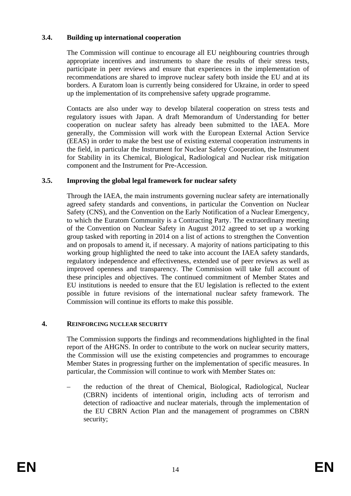### **3.4. Building up international cooperation**

The Commission will continue to encourage all EU neighbouring countries through appropriate incentives and instruments to share the results of their stress tests, participate in peer reviews and ensure that experiences in the implementation of recommendations are shared to improve nuclear safety both inside the EU and at its borders. A Euratom loan is currently being considered for Ukraine, in order to speed up the implementation of its comprehensive safety upgrade programme.

Contacts are also under way to develop bilateral cooperation on stress tests and regulatory issues with Japan. A draft Memorandum of Understanding for better cooperation on nuclear safety has already been submitted to the IAEA. More generally, the Commission will work with the European External Action Service (EEAS) in order to make the best use of existing external cooperation instruments in the field, in particular the Instrument for Nuclear Safety Cooperation, the Instrument for Stability in its Chemical, Biological, Radiological and Nuclear risk mitigation component and the Instrument for Pre-Accession.

### **3.5. Improving the global legal framework for nuclear safety**

Through the IAEA, the main instruments governing nuclear safety are internationally agreed safety standards and conventions, in particular the Convention on Nuclear Safety (CNS), and the Convention on the Early Notification of a Nuclear Emergency, to which the Euratom Community is a Contracting Party. The extraordinary meeting of the Convention on Nuclear Safety in August 2012 agreed to set up a working group tasked with reporting in 2014 on a list of actions to strengthen the Convention and on proposals to amend it, if necessary. A majority of nations participating to this working group highlighted the need to take into account the IAEA safety standards, regulatory independence and effectiveness, extended use of peer reviews as well as improved openness and transparency. The Commission will take full account of these principles and objectives. The continued commitment of Member States and EU institutions is needed to ensure that the EU legislation is reflected to the extent possible in future revisions of the international nuclear safety framework. The Commission will continue its efforts to make this possible.

#### **4. REINFORCING NUCLEAR SECURITY**

The Commission supports the findings and recommendations highlighted in the final report of the AHGNS. In order to contribute to the work on nuclear security matters, the Commission will use the existing competencies and programmes to encourage Member States in progressing further on the implementation of specific measures. In particular, the Commission will continue to work with Member States on:

– the reduction of the threat of Chemical, Biological, Radiological, Nuclear (CBRN) incidents of intentional origin, including acts of terrorism and detection of radioactive and nuclear materials, through the implementation of the EU CBRN Action Plan and the management of programmes on CBRN security;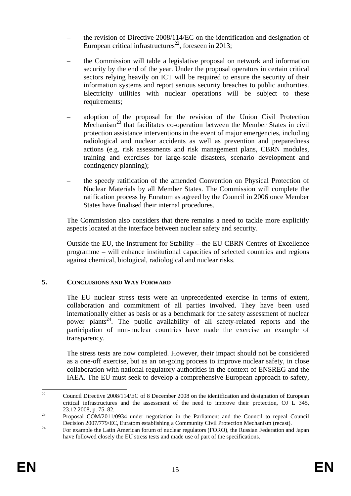- the revision of Directive 2008/114/EC on the identification and designation of European critical infrastructures<sup>22</sup>, foreseen in 2013;
- the Commission will table a legislative proposal on network and information security by the end of the year. Under the proposal operators in certain critical sectors relying heavily on ICT will be required to ensure the security of their information systems and report serious security breaches to public authorities. Electricity utilities with nuclear operations will be subject to these requirements;
- adoption of the proposal for the revision of the Union Civil Protection Mechanism<sup>23</sup> that facilitates co-operation between the Member States in civil protection assistance interventions in the event of major emergencies, including radiological and nuclear accidents as well as prevention and preparedness actions (e.g. risk assessments and risk management plans, CBRN modules, training and exercises for large-scale disasters, scenario development and contingency planning);
- the speedy ratification of the amended Convention on Physical Protection of Nuclear Materials by all Member States. The Commission will complete the ratification process by Euratom as agreed by the Council in 2006 once Member States have finalised their internal procedures.

The Commission also considers that there remains a need to tackle more explicitly aspects located at the interface between nuclear safety and security.

Outside the EU, the Instrument for Stability – the EU CBRN Centres of Excellence programme – will enhance institutional capacities of selected countries and regions against chemical, biological, radiological and nuclear risks.

## **5. CONCLUSIONS AND WAY FORWARD**

The EU nuclear stress tests were an unprecedented exercise in terms of extent, collaboration and commitment of all parties involved. They have been used internationally either as basis or as a benchmark for the safety assessment of nuclear power plants<sup>24</sup>. The public availability of all safety-related reports and the participation of non-nuclear countries have made the exercise an example of transparency.

The stress tests are now completed. However, their impact should not be considered as a one-off exercise, but as an on-going process to improve nuclear safety, in close collaboration with national regulatory authorities in the context of ENSREG and the IAEA. The EU must seek to develop a comprehensive European approach to safety,

 $22$ 22 Council Directive 2008/114/EC of 8 December 2008 on the identification and designation of European critical infrastructures and the assessment of the need to improve their protection, OJ L 345, 23.12.2008, p. 75–82.<br><sup>23</sup> Proposal COM/2011/0934 under negotiation in the Parliament and the Council to repeal Council

Decision 2007/779/EC, Euratom establishing a Community Civil Protection Mechanism (recast).<br><sup>24</sup> For example the Latin American forum of nuclear regulators (FORO), the Russian Federation and Japan

have followed closely the EU stress tests and made use of part of the specifications.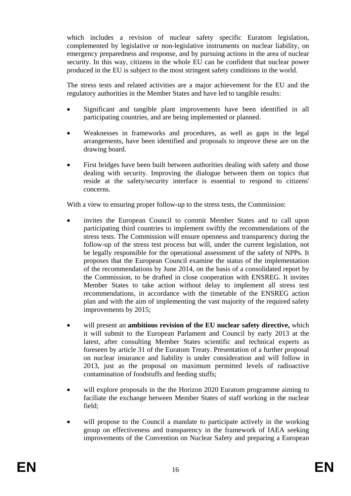which includes a revision of nuclear safety specific Euratom legislation, complemented by legislative or non-legislative instruments on nuclear liability, on emergency preparedness and response, and by pursuing actions in the area of nuclear security. In this way, citizens in the whole EU can be confident that nuclear power produced in the EU is subject to the most stringent safety conditions in the world.

The stress tests and related activities are a major achievement for the EU and the regulatory authorities in the Member States and have led to tangible results:

- Significant and tangible plant improvements have been identified in all participating countries, and are being implemented or planned.
- Weaknesses in frameworks and procedures, as well as gaps in the legal arrangements, have been identified and proposals to improve these are on the drawing board.
- First bridges have been built between authorities dealing with safety and those dealing with security. Improving the dialogue between them on topics that reside at the safety/security interface is essential to respond to citizens' concerns.

With a view to ensuring proper follow-up to the stress tests, the Commission:

- invites the European Council to commit Member States and to call upon participating third countries to implement swiftly the recommendations of the stress tests. The Commission will ensure openness and transparency during the follow-up of the stress test process but will, under the current legislation, not be legally responsible for the operational assessment of the safety of NPPs. It proposes that the European Council examine the status of the implementation of the recommendations by June 2014, on the basis of a consolidated report by the Commission, to be drafted in close cooperation with ENSREG. It invites Member States to take action without delay to implement all stress test recommendations, in accordance with the timetable of the ENSREG action plan and with the aim of implementing the vast majority of the required safety improvements by 2015;
- will present an **ambitious revision of the EU nuclear safety directive,** which it will submit to the European Parlament and Council by early 2013 at the latest, after consulting Member States scientific and technical experts as foreseen by article 31 of the Euratom Treaty. Presentation of a further proposal on nuclear insurance and liability is under consideration and will follow in 2013, just as the proposal on maximum permitted levels of radioactive contamination of foodstuffs and feeding stuffs;
- will explore proposals in the the Horizon 2020 Euratom programme aiming to faciliate the exchange between Member States of staff working in the nuclear field;
- will propose to the Council a mandate to participate actively in the working group on effectiveness and transparency in the framework of IAEA seeking improvements of the Convention on Nuclear Safety and preparing a European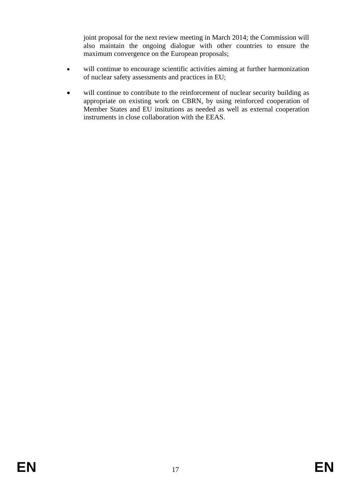joint proposal for the next review meeting in March 2014; the Commission will also maintain the ongoing dialogue with other countries to ensure the maximum convergence on the European proposals;

- will continue to encourage scientific activities aiming at further harmonization of nuclear safety assessments and practices in EU;
- will continue to contribute to the reinforcement of nuclear security building as appropriate on existing work on CBRN, by using reinforced cooperation of Member States and EU insitutions as needed as well as external cooperation instruments in close collaboration with the EEAS.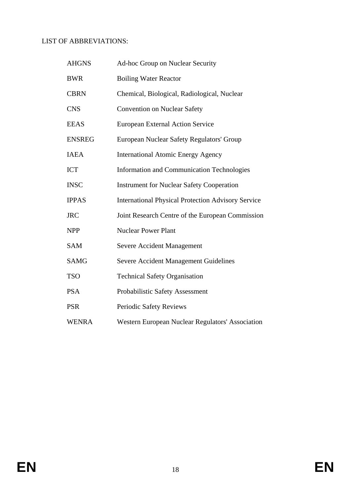#### LIST OF ABBREVIATIONS:

| <b>AHGNS</b>  | Ad-hoc Group on Nuclear Security                          |
|---------------|-----------------------------------------------------------|
| <b>BWR</b>    | <b>Boiling Water Reactor</b>                              |
| <b>CBRN</b>   | Chemical, Biological, Radiological, Nuclear               |
| <b>CNS</b>    | <b>Convention on Nuclear Safety</b>                       |
| <b>EEAS</b>   | <b>European External Action Service</b>                   |
| <b>ENSREG</b> | European Nuclear Safety Regulators' Group                 |
| <b>IAEA</b>   | <b>International Atomic Energy Agency</b>                 |
| <b>ICT</b>    | <b>Information and Communication Technologies</b>         |
| <b>INSC</b>   | <b>Instrument for Nuclear Safety Cooperation</b>          |
| <b>IPPAS</b>  | <b>International Physical Protection Advisory Service</b> |
| <b>JRC</b>    | Joint Research Centre of the European Commission          |
| <b>NPP</b>    | <b>Nuclear Power Plant</b>                                |
| <b>SAM</b>    | <b>Severe Accident Management</b>                         |
| <b>SAMG</b>   | <b>Severe Accident Management Guidelines</b>              |
| <b>TSO</b>    | <b>Technical Safety Organisation</b>                      |
| <b>PSA</b>    | Probabilistic Safety Assessment                           |
| <b>PSR</b>    | Periodic Safety Reviews                                   |
| <b>WENRA</b>  | Western European Nuclear Regulators' Association          |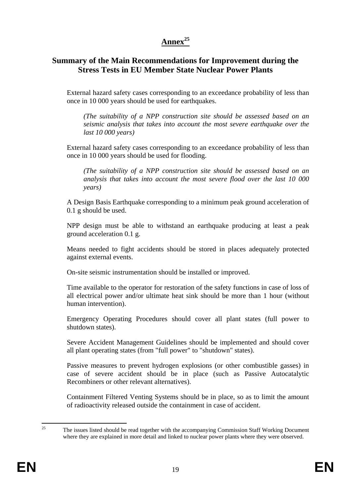# **Annex<sup>25</sup>**

# **Summary of the Main Recommendations for Improvement during the Stress Tests in EU Member State Nuclear Power Plants**

External hazard safety cases corresponding to an exceedance probability of less than once in 10 000 years should be used for earthquakes.

*(The suitability of a NPP construction site should be assessed based on an seismic analysis that takes into account the most severe earthquake over the last 10 000 years)* 

External hazard safety cases corresponding to an exceedance probability of less than once in 10 000 years should be used for flooding.

*(The suitability of a NPP construction site should be assessed based on an analysis that takes into account the most severe flood over the last 10 000 years)* 

A Design Basis Earthquake corresponding to a minimum peak ground acceleration of 0.1 g should be used.

NPP design must be able to withstand an earthquake producing at least a peak ground acceleration 0.1 g.

Means needed to fight accidents should be stored in places adequately protected against external events.

On-site seismic instrumentation should be installed or improved.

Time available to the operator for restoration of the safety functions in case of loss of all electrical power and/or ultimate heat sink should be more than 1 hour (without human intervention).

Emergency Operating Procedures should cover all plant states (full power to shutdown states).

Severe Accident Management Guidelines should be implemented and should cover all plant operating states (from "full power" to "shutdown" states).

Passive measures to prevent hydrogen explosions (or other combustible gasses) in case of severe accident should be in place (such as Passive Autocatalytic Recombiners or other relevant alternatives).

Containment Filtered Venting Systems should be in place, so as to limit the amount of radioactivity released outside the containment in case of accident.

 $25$ 25 The issues listed should be read together with the accompanying Commission Staff Working Document where they are explained in more detail and linked to nuclear power plants where they were observed.